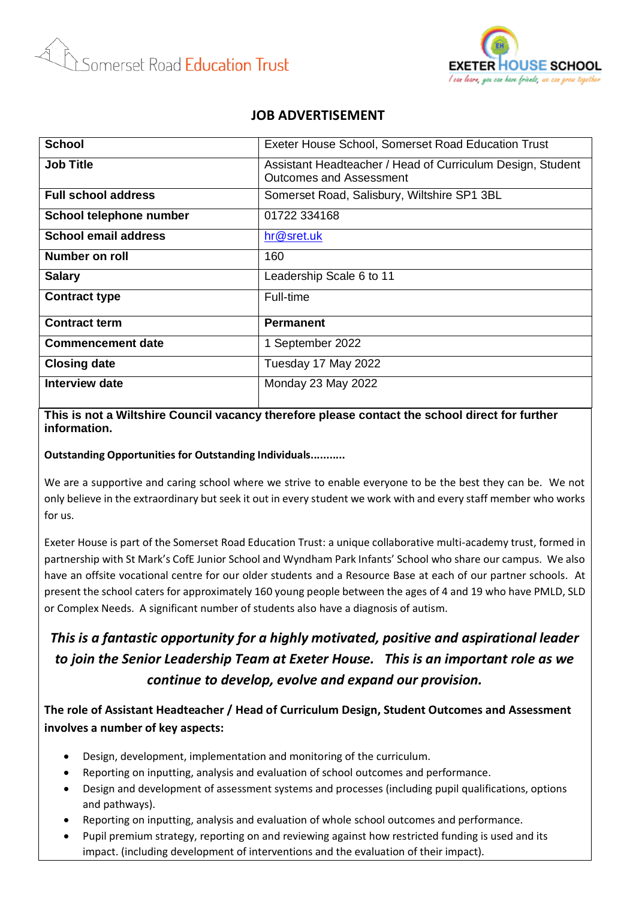



### **JOB ADVERTISEMENT**

| <b>School</b>              | Exeter House School, Somerset Road Education Trust                                           |
|----------------------------|----------------------------------------------------------------------------------------------|
| <b>Job Title</b>           | Assistant Headteacher / Head of Curriculum Design, Student<br><b>Outcomes and Assessment</b> |
| <b>Full school address</b> | Somerset Road, Salisbury, Wiltshire SP1 3BL                                                  |
| School telephone number    | 01722 334168                                                                                 |
| School email address       | hr@sret.uk                                                                                   |
| Number on roll             | 160                                                                                          |
| <b>Salary</b>              | Leadership Scale 6 to 11                                                                     |
| <b>Contract type</b>       | Full-time                                                                                    |
| <b>Contract term</b>       | <b>Permanent</b>                                                                             |
| <b>Commencement date</b>   | 1 September 2022                                                                             |
| <b>Closing date</b>        | Tuesday 17 May 2022                                                                          |
| Interview date             | Monday 23 May 2022                                                                           |

### **This is not a Wiltshire Council vacancy therefore please contact the school direct for further information.**

#### **Outstanding Opportunities for Outstanding Individuals...........**

We are a supportive and caring school where we strive to enable everyone to be the best they can be. We not only believe in the extraordinary but seek it out in every student we work with and every staff member who works for us.

Exeter House is part of the Somerset Road Education Trust: a unique collaborative multi-academy trust, formed in partnership with St Mark's CofE Junior School and Wyndham Park Infants' School who share our campus. We also have an offsite vocational centre for our older students and a Resource Base at each of our partner schools. At present the school caters for approximately 160 young people between the ages of 4 and 19 who have PMLD, SLD or Complex Needs. A significant number of students also have a diagnosis of autism.

# *This is a fantastic opportunity for a highly motivated, positive and aspirational leader to join the Senior Leadership Team at Exeter House. This is an important role as we continue to develop, evolve and expand our provision.*

## **The role of Assistant Headteacher / Head of Curriculum Design, Student Outcomes and Assessment involves a number of key aspects:**

- Design, development, implementation and monitoring of the curriculum.
- Reporting on inputting, analysis and evaluation of school outcomes and performance.
- Design and development of assessment systems and processes (including pupil qualifications, options and pathways).
- Reporting on inputting, analysis and evaluation of whole school outcomes and performance.
- Pupil premium strategy, reporting on and reviewing against how restricted funding is used and its impact. (including development of interventions and the evaluation of their impact).